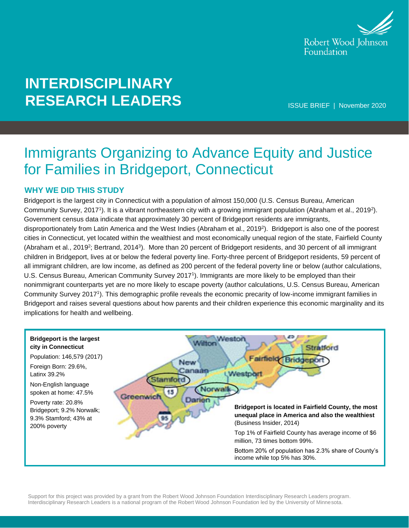

# **INTERDISCIPLINARY RESEARCH LEADERS**

ISSUE BRIEF | November 2020

## Immigrants Organizing to Advance Equity and Justice for Families in Bridgeport, Connecticut

#### **WHY WE DID THIS STUDY**

Bridgeport is the largest city in Connecticut with a population of almost 150,000 (U.S. Census Bureau, American Community Survey, 2017<sup>1</sup>). It is a vibrant northeastern city with a growing immigrant population (Abraham et al., 2019<sup>2</sup>). Government census data indicate that approximately 30 percent of Bridgeport residents are immigrants, disproportionately from Latin America and the West Indies (Abraham et al., 2019<sup>2</sup> ). Bridgeport is also one of the poorest cities in Connecticut, yet located within the wealthiest and most economically unequal region of the state, Fairfield County (Abraham et al., 2019<sup>2</sup>; Bertrand, 2014<sup>3</sup>). More than 20 percent of Bridgeport residents, and 30 percent of all immigrant children in Bridgeport, lives at or below the federal poverty line. Forty-three percent of Bridgeport residents, 59 percent of all immigrant children, are low income, as defined as 200 percent of the federal poverty line or below (author calculations, U.S. Census Bureau, American Community Survey 2017<sup>1</sup>). Immigrants are more likely to be employed than their nonimmigrant counterparts yet are no more likely to escape poverty (author calculations, U.S. Census Bureau, American Community Survey 2017<sup>1</sup> ). This demographic profile reveals the economic precarity of low-income immigrant families in Bridgeport and raises several questions about how parents and their children experience this economic marginality and its implications for health and wellbeing.

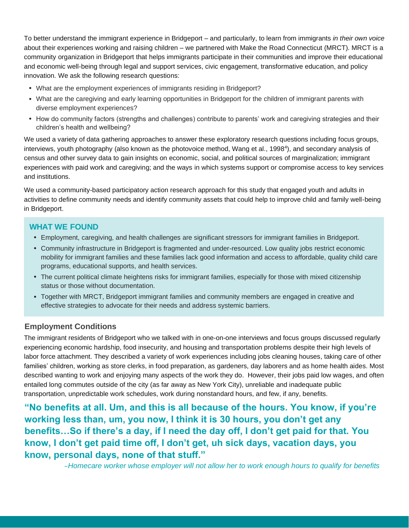To better understand the immigrant experience in Bridgeport – and particularly, to learn from immigrants *in their own voice* about their experiences working and raising children – we partnered with Make the Road Connecticut (MRCT). MRCT is a community organization in Bridgeport that helps immigrants participate in their communities and improve their educational and economic well-being through legal and support services, civic engagement, transformative education, and policy innovation. We ask the following research questions:

- What are the employment experiences of immigrants residing in Bridgeport?
- What are the caregiving and early learning opportunities in Bridgeport for the children of immigrant parents with diverse employment experiences?
- How do community factors (strengths and challenges) contribute to parents' work and caregiving strategies and their children's health and wellbeing?

We used a variety of data gathering approaches to answer these exploratory research questions including focus groups, interviews, youth photography (also known as the photovoice method, Wang et al., 1998<sup>4</sup> ), and secondary analysis of census and other survey data to gain insights on economic, social, and political sources of marginalization; immigrant experiences with paid work and caregiving; and the ways in which systems support or compromise access to key services and institutions.

We used a community-based participatory action research approach for this study that engaged youth and adults in activities to define community needs and identify community assets that could help to improve child and family well-being in Bridgeport.

#### **WHAT WE FOUND**

- Employment, caregiving, and health challenges are significant stressors for immigrant families in Bridgeport.
- Community infrastructure in Bridgeport is fragmented and under-resourced. Low quality jobs restrict economic mobility for immigrant families and these families lack good information and access to affordable, quality child care programs, educational supports, and health services.
- The current political climate heightens risks for immigrant families, especially for those with mixed citizenship status or those without documentation.
- Together with MRCT, Bridgeport immigrant families and community members are engaged in creative and effective strategies to advocate for their needs and address systemic barriers.

#### **Employment Conditions**

The immigrant residents of Bridgeport who we talked with in one-on-one interviews and focus groups discussed regularly experiencing economic hardship, food insecurity, and housing and transportation problems despite their high levels of labor force attachment. They described a variety of work experiences including jobs cleaning houses, taking care of other families' children, working as store clerks, in food preparation, as gardeners, day laborers and as home health aides. Most described wanting to work and enjoying many aspects of the work they do. However, their jobs paid low wages, and often entailed long commutes outside of the city (as far away as New York City), unreliable and inadequate public transportation, unpredictable work schedules, work during nonstandard hours, and few, if any, benefits.

**"No benefits at all. Um, and this is all because of the hours. You know, if you're working less than, um, you now, I think it is 30 hours, you don't get any benefits…So if there's a day, if I need the day off, I don't get paid for that. You know, I don't get paid time off, I don't get, uh sick days, vacation days, you know, personal days, none of that stuff."**

*–Homecare worker whose employer will not allow her to work enough hours to qualify for benefits*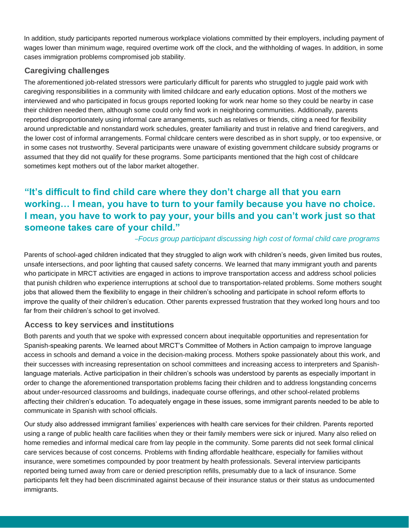In addition, study participants reported numerous workplace violations committed by their employers, including payment of wages lower than minimum wage, required overtime work off the clock, and the withholding of wages. In addition, in some cases immigration problems compromised job stability.

#### **Caregiving challenges**

The aforementioned job-related stressors were particularly difficult for parents who struggled to juggle paid work with caregiving responsibilities in a community with limited childcare and early education options. Most of the mothers we interviewed and who participated in focus groups reported looking for work near home so they could be nearby in case their children needed them, although some could only find work in neighboring communities. Additionally, parents reported disproportionately using informal care arrangements, such as relatives or friends, citing a need for flexibility around unpredictable and nonstandard work schedules, greater familiarity and trust in relative and friend caregivers, and the lower cost of informal arrangements. Formal childcare centers were described as in short supply, or too expensive, or in some cases not trustworthy. Several participants were unaware of existing government childcare subsidy programs or assumed that they did not qualify for these programs. Some participants mentioned that the high cost of childcare sometimes kept mothers out of the labor market altogether.

## **"It's difficult to find child care where they don't charge all that you earn working… I mean, you have to turn to your family because you have no choice. I mean, you have to work to pay your, your bills and you can't work just so that someone takes care of your child."**

#### *–Focus group participant discussing high cost of formal child care programs*

Parents of school-aged children indicated that they struggled to align work with children's needs, given limited bus routes, unsafe intersections, and poor lighting that caused safety concerns. We learned that many immigrant youth and parents who participate in MRCT activities are engaged in actions to improve transportation access and address school policies that punish children who experience interruptions at school due to transportation-related problems. Some mothers sought jobs that allowed them the flexibility to engage in their children's schooling and participate in school reform efforts to improve the quality of their children's education. Other parents expressed frustration that they worked long hours and too far from their children's school to get involved.

#### **Access to key services and institutions**

Both parents and youth that we spoke with expressed concern about inequitable opportunities and representation for Spanish-speaking parents. We learned about MRCT's Committee of Mothers in Action campaign to improve language access in schools and demand a voice in the decision-making process. Mothers spoke passionately about this work, and their successes with increasing representation on school committees and increasing access to interpreters and Spanishlanguage materials. Active participation in their children's schools was understood by parents as especially important in order to change the aforementioned transportation problems facing their children and to address longstanding concerns about under-resourced classrooms and buildings, inadequate course offerings, and other school-related problems affecting their children's education. To adequately engage in these issues, some immigrant parents needed to be able to communicate in Spanish with school officials.

Our study also addressed immigrant families' experiences with health care services for their children. Parents reported using a range of public health care facilities when they or their family members were sick or injured. Many also relied on home remedies and informal medical care from lay people in the community. Some parents did not seek formal clinical care services because of cost concerns. Problems with finding affordable healthcare, especially for families without insurance, were sometimes compounded by poor treatment by health professionals. Several interview participants reported being turned away from care or denied prescription refills, presumably due to a lack of insurance. Some participants felt they had been discriminated against because of their insurance status or their status as undocumented immigrants.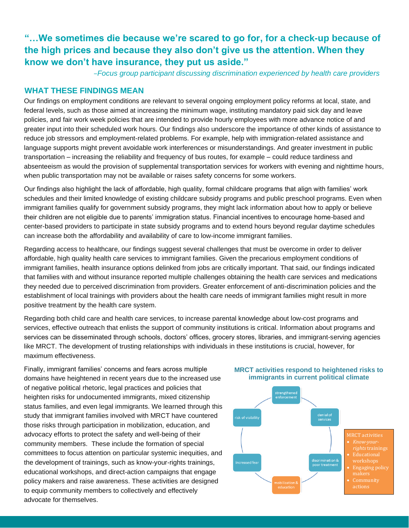### **"…We sometimes die because we're scared to go for, for a check-up because of the high prices and because they also don't give us the attention. When they know we don't have insurance, they put us aside."**

*–Focus group participant discussing discrimination experienced by health care providers*

#### **WHAT THESE FINDINGS MEAN**

Our findings on employment conditions are relevant to several ongoing employment policy reforms at local, state, and federal levels, such as those aimed at increasing the minimum wage, instituting mandatory paid sick day and leave policies, and fair work week policies that are intended to provide hourly employees with more advance notice of and greater input into their scheduled work hours. Our findings also underscore the importance of other kinds of assistance to reduce job stressors and employment-related problems. For example, help with immigration-related assistance and language supports might prevent avoidable work interferences or misunderstandings. And greater investment in public transportation – increasing the reliability and frequency of bus routes, for example – could reduce tardiness and absenteeism as would the provision of supplemental transportation services for workers with evening and nighttime hours, when public transportation may not be available or raises safety concerns for some workers.

Our findings also highlight the lack of affordable, high quality, formal childcare programs that align with families' work schedules and their limited knowledge of existing childcare subsidy programs and public preschool programs. Even when immigrant families qualify for government subsidy programs, they might lack information about how to apply or believe their children are not eligible due to parents' immigration status. Financial incentives to encourage home-based and center-based providers to participate in state subsidy programs and to extend hours beyond regular daytime schedules can increase both the affordability and availability of care to low-income immigrant families.

Regarding access to healthcare, our findings suggest several challenges that must be overcome in order to deliver affordable, high quality health care services to immigrant families. Given the precarious employment conditions of immigrant families, health insurance options delinked from jobs are critically important. That said, our findings indicated that families with and without insurance reported multiple challenges obtaining the health care services and medications they needed due to perceived discrimination from providers. Greater enforcement of anti-discrimination policies and the establishment of local trainings with providers about the health care needs of immigrant families might result in more positive treatment by the health care system.

Regarding both child care and health care services, to increase parental knowledge about low-cost programs and services, effective outreach that enlists the support of community institutions is critical. Information about programs and services can be disseminated through schools, doctors' offices, grocery stores, libraries, and immigrant-serving agencies like MRCT. The development of trusting relationships with individuals in these institutions is crucial, however, for maximum effectiveness.

Finally, immigrant families' concerns and fears across multiple domains have heightened in recent years due to the increased use of negative political rhetoric, legal practices and policies that heighten risks for undocumented immigrants, mixed citizenship status families, and even legal immigrants. We learned through this study that immigrant families involved with MRCT have countered those risks through participation in mobilization, education, and advocacy efforts to protect the safety and well-being of their community members. These include the formation of special committees to focus attention on particular systemic inequities, and the development of trainings, such as know-your-rights trainings, educational workshops, and direct-action campaigns that engage policy makers and raise awareness. These activities are designed to equip community members to collectively and effectively advocate for themselves.